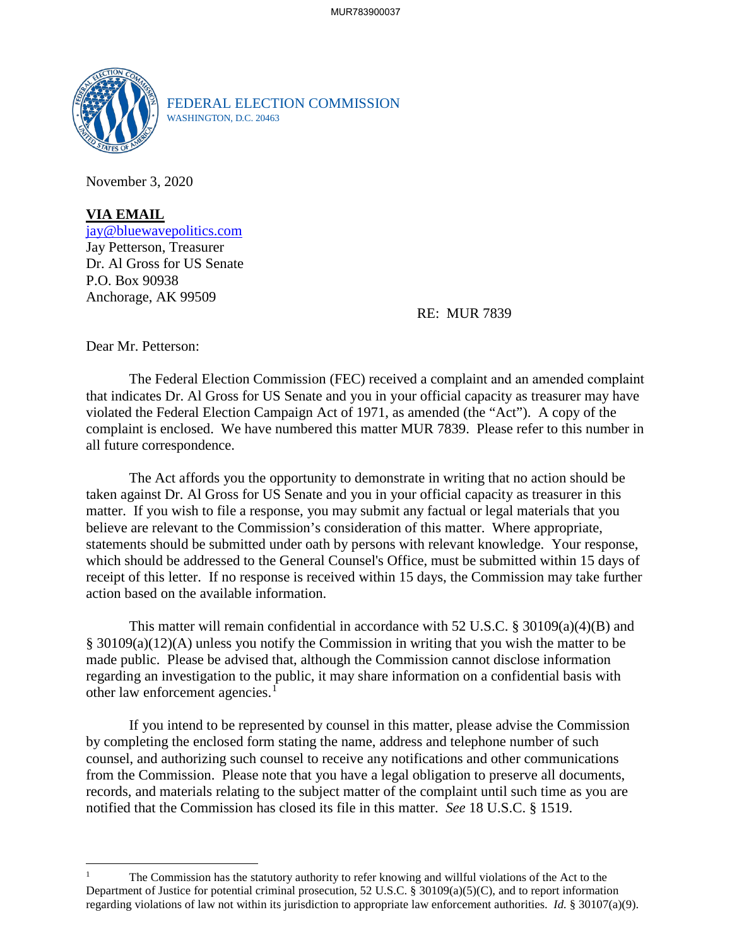

FEDERAL ELECTION COMMISSION WASHINGTON, D.C. 20463

November 3, 2020

**VIA EMAIL** [jay@bluewavepolitics.com](mailto:jay@bluewavepolitics.com) Jay Petterson, Treasurer Dr. Al Gross for US Senate P.O. Box 90938 Anchorage, AK 99509

RE: MUR 7839

Dear Mr. Petterson:

The Federal Election Commission (FEC) received a complaint and an amended complaint that indicates Dr. Al Gross for US Senate and you in your official capacity as treasurer may have violated the Federal Election Campaign Act of 1971, as amended (the "Act"). A copy of the complaint is enclosed. We have numbered this matter MUR 7839. Please refer to this number in all future correspondence.

The Act affords you the opportunity to demonstrate in writing that no action should be taken against Dr. Al Gross for US Senate and you in your official capacity as treasurer in this matter. If you wish to file a response, you may submit any factual or legal materials that you believe are relevant to the Commission's consideration of this matter. Where appropriate, statements should be submitted under oath by persons with relevant knowledge. Your response, which should be addressed to the General Counsel's Office, must be submitted within 15 days of receipt of this letter. If no response is received within 15 days, the Commission may take further action based on the available information.

This matter will remain confidential in accordance with 52 U.S.C.  $\S 30109(a)(4)(B)$  and § 30109(a)(12)(A) unless you notify the Commission in writing that you wish the matter to be made public. Please be advised that, although the Commission cannot disclose information regarding an investigation to the public, it may share information on a confidential basis with other law enforcement agencies.<sup>[1](#page-0-0)</sup>

If you intend to be represented by counsel in this matter, please advise the Commission by completing the enclosed form stating the name, address and telephone number of such counsel, and authorizing such counsel to receive any notifications and other communications from the Commission. Please note that you have a legal obligation to preserve all documents, records, and materials relating to the subject matter of the complaint until such time as you are notified that the Commission has closed its file in this matter. *See* 18 U.S.C. § 1519.

<span id="page-0-0"></span><sup>1</sup> The Commission has the statutory authority to refer knowing and willful violations of the Act to the Department of Justice for potential criminal prosecution, 52 U.S.C. § 30109(a)(5)(C), and to report information regarding violations of law not within its jurisdiction to appropriate law enforcement authorities. *Id.* § 30107(a)(9).